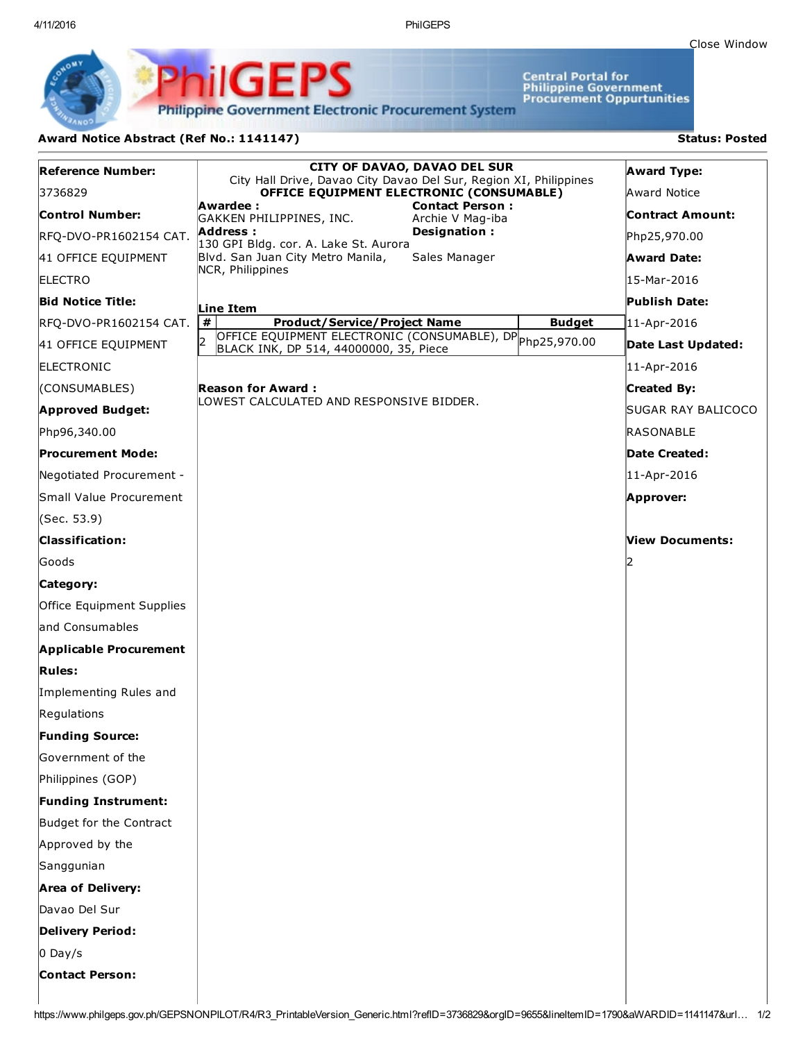Close [Window](javascript:window.close();)

Central Portal for<br>Philippine Government<br>Procurement Oppurtunities

**Philippine Government Electronic Procurement System** 

PhilGEPS

## Award Notice Abstract (Ref No.: 1141147) Status: Posted

| <b>Reference Number:</b>      | <b>CITY OF DAVAO, DAVAO DEL SUR</b>                                                                       |               | <b>Award Type:</b>      |
|-------------------------------|-----------------------------------------------------------------------------------------------------------|---------------|-------------------------|
|                               | City Hall Drive, Davao City Davao Del Sur, Region XI, Philippines                                         |               |                         |
| 3736829                       | OFFICE EQUIPMENT ELECTRONIC (CONSUMABLE)<br><b>Contact Person:</b><br>Awardee :                           |               | Award Notice            |
| Control Number:               | GAKKEN PHILIPPINES, INC.<br>Archie V Mag-iba<br>Address:<br>Designation:                                  |               | <b>Contract Amount:</b> |
| RFQ-DVO-PR1602154 CAT.        | 130 GPI Bldg. cor. A. Lake St. Aurora                                                                     |               | Php25,970.00            |
| 41 OFFICE EQUIPMENT           | Blvd. San Juan City Metro Manila,<br>Sales Manager<br>NCR, Philippines                                    |               | <b>Award Date:</b>      |
| <b>ELECTRO</b>                |                                                                                                           |               | l15-Mar-2016            |
| <b>Bid Notice Title:</b>      | Line Item                                                                                                 |               | Publish Date:           |
| RFQ-DVO-PR1602154 CAT.        | #<br><b>Product/Service/Project Name</b>                                                                  | <b>Budget</b> | 11-Apr-2016             |
| 41 OFFICE EQUIPMENT           | OFFICE EQUIPMENT ELECTRONIC (CONSUMABLE), DP Php25,970.00<br>I2<br>BLACK INK, DP 514, 44000000, 35, Piece |               | Date Last Updated:      |
| <b>ELECTRONIC</b>             |                                                                                                           |               | 11-Apr-2016             |
| (CONSUMABLES)                 | <b>Reason for Award:</b><br>LOWEST CALCULATED AND RESPONSIVE BIDDER.                                      |               | <b>Created By:</b>      |
| <b>Approved Budget:</b>       |                                                                                                           |               | SUGAR RAY BALICOCO      |
| Php96,340.00                  |                                                                                                           |               | RASONABLE               |
| Procurement Mode:             |                                                                                                           |               | Date Created:           |
| Negotiated Procurement -      |                                                                                                           |               | 11-Apr-2016             |
| Small Value Procurement       |                                                                                                           |               | Approver:               |
| (Sec. 53.9)                   |                                                                                                           |               |                         |
| <b>Classification:</b>        |                                                                                                           |               | View Documents:         |
| Goods                         |                                                                                                           |               |                         |
| Category:                     |                                                                                                           |               |                         |
| Office Equipment Supplies     |                                                                                                           |               |                         |
| land Consumables              |                                                                                                           |               |                         |
| <b>Applicable Procurement</b> |                                                                                                           |               |                         |
| <b>Rules:</b>                 |                                                                                                           |               |                         |
| Implementing Rules and        |                                                                                                           |               |                         |
| Regulations                   |                                                                                                           |               |                         |
| <b>Funding Source:</b>        |                                                                                                           |               |                         |
| Government of the             |                                                                                                           |               |                         |
| Philippines (GOP)             |                                                                                                           |               |                         |
| <b>Funding Instrument:</b>    |                                                                                                           |               |                         |
| Budget for the Contract       |                                                                                                           |               |                         |
| Approved by the               |                                                                                                           |               |                         |
| Sanggunian                    |                                                                                                           |               |                         |
| <b>Area of Delivery:</b>      |                                                                                                           |               |                         |
| Davao Del Sur                 |                                                                                                           |               |                         |
| <b>Delivery Period:</b>       |                                                                                                           |               |                         |
| $0$ Day/s                     |                                                                                                           |               |                         |
| <b>Contact Person:</b>        |                                                                                                           |               |                         |
|                               |                                                                                                           |               |                         |

https://www.philgeps.gov.ph/GEPSNONPILOT/R4/R3\_PrintableVersion\_Generic.html?refID=3736829&orgID=9655&lineItemID=1790&aWARDID=1141147&url… 1/2